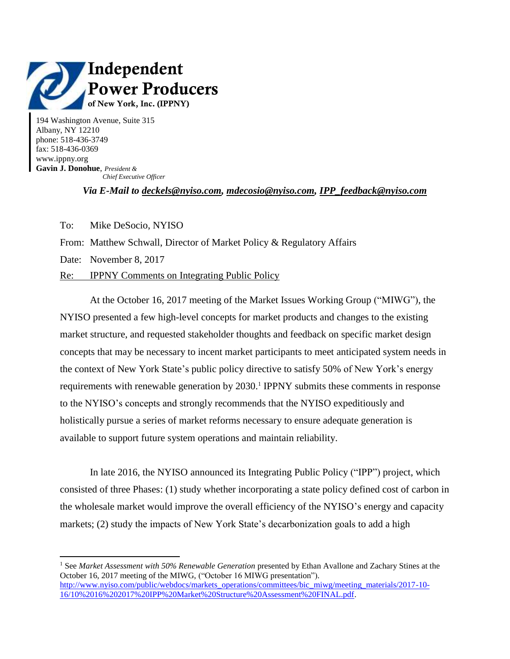

194 Washington Avenue, Suite 315 Albany, NY 12210 phone: 518-436-3749 fax: 518-436-0369 www.ippny.org **Gavin J. Donohue**, *President & Chief Executive Officer*

*Via E-Mail to [deckels@nyiso.com,](mailto:deckels@nyiso.com) [mdecosio@nyiso.com,](mailto:mdecosio@nyiso.com) [IPP\\_feedback@nyiso.com](mailto:IPP_feedback@nyiso.com)*

To: Mike DeSocio, NYISO

From: Matthew Schwall, Director of Market Policy & Regulatory Affairs

Date: November 8, 2017

 $\overline{a}$ 

Re: IPPNY Comments on Integrating Public Policy

At the October 16, 2017 meeting of the Market Issues Working Group ("MIWG"), the NYISO presented a few high-level concepts for market products and changes to the existing market structure, and requested stakeholder thoughts and feedback on specific market design concepts that may be necessary to incent market participants to meet anticipated system needs in the context of New York State's public policy directive to satisfy 50% of New York's energy requirements with renewable generation by 2030.<sup>1</sup> IPPNY submits these comments in response to the NYISO's concepts and strongly recommends that the NYISO expeditiously and holistically pursue a series of market reforms necessary to ensure adequate generation is available to support future system operations and maintain reliability.

In late 2016, the NYISO announced its Integrating Public Policy ("IPP") project, which consisted of three Phases: (1) study whether incorporating a state policy defined cost of carbon in the wholesale market would improve the overall efficiency of the NYISO's energy and capacity markets; (2) study the impacts of New York State's decarbonization goals to add a high

<sup>1</sup> See *Market Assessment with 50% Renewable Generation* presented by Ethan Avallone and Zachary Stines at the October 16, 2017 meeting of the MIWG, ("October 16 MIWG presentation"). [http://www.nyiso.com/public/webdocs/markets\\_operations/committees/bic\\_miwg/meeting\\_materials/2017-10-](http://www.nyiso.com/public/webdocs/markets_operations/committees/bic_miwg/meeting_materials/2017-10-16/10%2016%202017%20IPP%20Market%20Structure%20Assessment%20FINAL.pdf) [16/10%2016%202017%20IPP%20Market%20Structure%20Assessment%20FINAL.pdf.](http://www.nyiso.com/public/webdocs/markets_operations/committees/bic_miwg/meeting_materials/2017-10-16/10%2016%202017%20IPP%20Market%20Structure%20Assessment%20FINAL.pdf)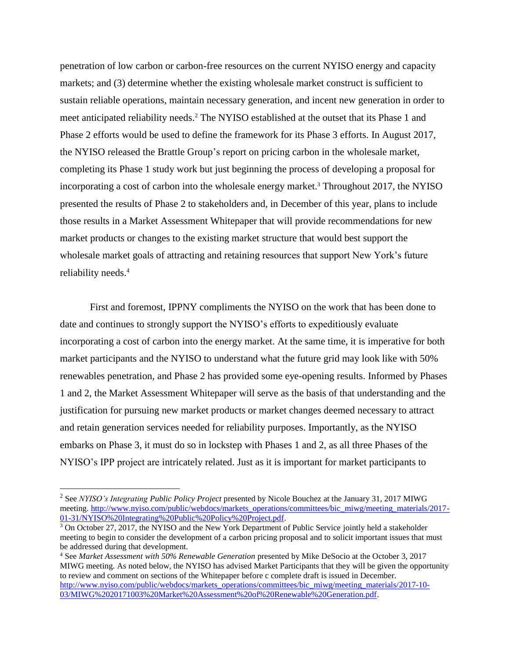penetration of low carbon or carbon-free resources on the current NYISO energy and capacity markets; and (3) determine whether the existing wholesale market construct is sufficient to sustain reliable operations, maintain necessary generation, and incent new generation in order to meet anticipated reliability needs. <sup>2</sup> The NYISO established at the outset that its Phase 1 and Phase 2 efforts would be used to define the framework for its Phase 3 efforts. In August 2017, the NYISO released the Brattle Group's report on pricing carbon in the wholesale market, completing its Phase 1 study work but just beginning the process of developing a proposal for incorporating a cost of carbon into the wholesale energy market.<sup>3</sup> Throughout 2017, the NYISO presented the results of Phase 2 to stakeholders and, in December of this year, plans to include those results in a Market Assessment Whitepaper that will provide recommendations for new market products or changes to the existing market structure that would best support the wholesale market goals of attracting and retaining resources that support New York's future reliability needs. 4

First and foremost, IPPNY compliments the NYISO on the work that has been done to date and continues to strongly support the NYISO's efforts to expeditiously evaluate incorporating a cost of carbon into the energy market. At the same time, it is imperative for both market participants and the NYISO to understand what the future grid may look like with 50% renewables penetration, and Phase 2 has provided some eye-opening results. Informed by Phases 1 and 2, the Market Assessment Whitepaper will serve as the basis of that understanding and the justification for pursuing new market products or market changes deemed necessary to attract and retain generation services needed for reliability purposes. Importantly, as the NYISO embarks on Phase 3, it must do so in lockstep with Phases 1 and 2, as all three Phases of the NYISO's IPP project are intricately related. Just as it is important for market participants to

<sup>&</sup>lt;sup>2</sup> See *NYISO's Integrating Public Policy Project* presented by Nicole Bouchez at the January 31, 2017 MIWG meeting. [http://www.nyiso.com/public/webdocs/markets\\_operations/committees/bic\\_miwg/meeting\\_materials/2017-](http://www.nyiso.com/public/webdocs/markets_operations/committees/bic_miwg/meeting_materials/2017-01-31/NYISO%20Integrating%20Public%20Policy%20Project.pdf) [01-31/NYISO%20Integrating%20Public%20Policy%20Project.pdf.](http://www.nyiso.com/public/webdocs/markets_operations/committees/bic_miwg/meeting_materials/2017-01-31/NYISO%20Integrating%20Public%20Policy%20Project.pdf)

<sup>&</sup>lt;sup>3</sup> On October 27, 2017, the NYISO and the New York Department of Public Service jointly held a stakeholder meeting to begin to consider the development of a carbon pricing proposal and to solicit important issues that must be addressed during that development.

<sup>4</sup> See *Market Assessment with 50% Renewable Generation* presented by Mike DeSocio at the October 3, 2017 MIWG meeting. As noted below, the NYISO has advised Market Participants that they will be given the opportunity to review and comment on sections of the Whitepaper before c complete draft is issued in December. [http://www.nyiso.com/public/webdocs/markets\\_operations/committees/bic\\_miwg/meeting\\_materials/2017-10-](http://www.nyiso.com/public/webdocs/markets_operations/committees/bic_miwg/meeting_materials/2017-10-03/MIWG%2020171003%20Market%20Assessment%20of%20Renewable%20Generation.pdf) [03/MIWG%2020171003%20Market%20Assessment%20of%20Renewable%20Generation.pdf.](http://www.nyiso.com/public/webdocs/markets_operations/committees/bic_miwg/meeting_materials/2017-10-03/MIWG%2020171003%20Market%20Assessment%20of%20Renewable%20Generation.pdf)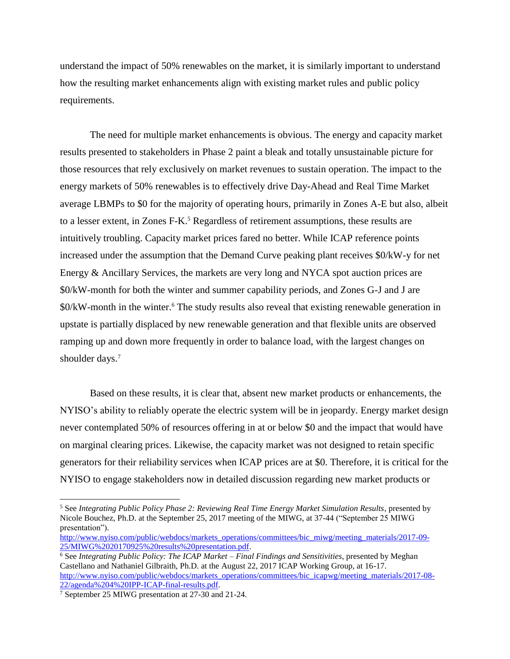understand the impact of 50% renewables on the market, it is similarly important to understand how the resulting market enhancements align with existing market rules and public policy requirements.

The need for multiple market enhancements is obvious. The energy and capacity market results presented to stakeholders in Phase 2 paint a bleak and totally unsustainable picture for those resources that rely exclusively on market revenues to sustain operation. The impact to the energy markets of 50% renewables is to effectively drive Day-Ahead and Real Time Market average LBMPs to \$0 for the majority of operating hours, primarily in Zones A-E but also, albeit to a lesser extent, in Zones F-K<sup>5</sup> Regardless of retirement assumptions, these results are intuitively troubling. Capacity market prices fared no better. While ICAP reference points increased under the assumption that the Demand Curve peaking plant receives \$0/kW-y for net Energy & Ancillary Services, the markets are very long and NYCA spot auction prices are \$0/kW-month for both the winter and summer capability periods, and Zones G-J and J are \$0/kW-month in the winter.<sup>6</sup> The study results also reveal that existing renewable generation in upstate is partially displaced by new renewable generation and that flexible units are observed ramping up and down more frequently in order to balance load, with the largest changes on shoulder days. 7

Based on these results, it is clear that, absent new market products or enhancements, the NYISO's ability to reliably operate the electric system will be in jeopardy. Energy market design never contemplated 50% of resources offering in at or below \$0 and the impact that would have on marginal clearing prices. Likewise, the capacity market was not designed to retain specific generators for their reliability services when ICAP prices are at \$0. Therefore, it is critical for the NYISO to engage stakeholders now in detailed discussion regarding new market products or

<sup>5</sup> See *Integrating Public Policy Phase 2: Reviewing Real Time Energy Market Simulation Results*, presented by Nicole Bouchez, Ph.D. at the September 25, 2017 meeting of the MIWG, at 37-44 ("September 25 MIWG presentation").

[http://www.nyiso.com/public/webdocs/markets\\_operations/committees/bic\\_miwg/meeting\\_materials/2017-09-](http://www.nyiso.com/public/webdocs/markets_operations/committees/bic_miwg/meeting_materials/2017-09-25/MIWG%2020170925%20results%20presentation.pdf) [25/MIWG%2020170925%20results%20presentation.pdf.](http://www.nyiso.com/public/webdocs/markets_operations/committees/bic_miwg/meeting_materials/2017-09-25/MIWG%2020170925%20results%20presentation.pdf) 

<sup>6</sup> See *Integrating Public Policy: The ICAP Market – Final Findings and Sensitivities*, presented by Meghan Castellano and Nathaniel Gilbraith, Ph.D. at the August 22, 2017 ICAP Working Group, at 16-17. [http://www.nyiso.com/public/webdocs/markets\\_operations/committees/bic\\_icapwg/meeting\\_materials/2017-08-](http://www.nyiso.com/public/webdocs/markets_operations/committees/bic_icapwg/meeting_materials/2017-08-22/agenda%204%20IPP-ICAP-final-results.pdf) [22/agenda%204%20IPP-ICAP-final-results.pdf.](http://www.nyiso.com/public/webdocs/markets_operations/committees/bic_icapwg/meeting_materials/2017-08-22/agenda%204%20IPP-ICAP-final-results.pdf)

<sup>7</sup> September 25 MIWG presentation at 27-30 and 21-24.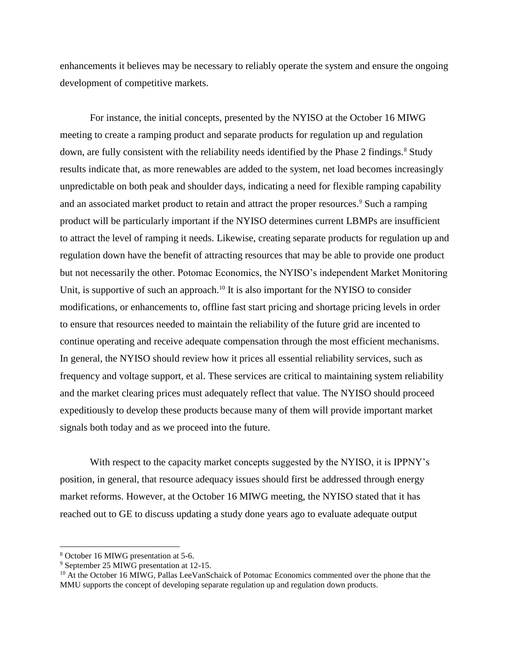enhancements it believes may be necessary to reliably operate the system and ensure the ongoing development of competitive markets.

For instance, the initial concepts, presented by the NYISO at the October 16 MIWG meeting to create a ramping product and separate products for regulation up and regulation down, are fully consistent with the reliability needs identified by the Phase 2 findings.<sup>8</sup> Study results indicate that, as more renewables are added to the system, net load becomes increasingly unpredictable on both peak and shoulder days, indicating a need for flexible ramping capability and an associated market product to retain and attract the proper resources. <sup>9</sup> Such a ramping product will be particularly important if the NYISO determines current LBMPs are insufficient to attract the level of ramping it needs. Likewise, creating separate products for regulation up and regulation down have the benefit of attracting resources that may be able to provide one product but not necessarily the other. Potomac Economics, the NYISO's independent Market Monitoring Unit, is supportive of such an approach.<sup>10</sup> It is also important for the NYISO to consider modifications, or enhancements to, offline fast start pricing and shortage pricing levels in order to ensure that resources needed to maintain the reliability of the future grid are incented to continue operating and receive adequate compensation through the most efficient mechanisms. In general, the NYISO should review how it prices all essential reliability services, such as frequency and voltage support, et al. These services are critical to maintaining system reliability and the market clearing prices must adequately reflect that value. The NYISO should proceed expeditiously to develop these products because many of them will provide important market signals both today and as we proceed into the future.

With respect to the capacity market concepts suggested by the NYISO, it is IPPNY's position, in general, that resource adequacy issues should first be addressed through energy market reforms. However, at the October 16 MIWG meeting, the NYISO stated that it has reached out to GE to discuss updating a study done years ago to evaluate adequate output

<sup>8</sup> October 16 MIWG presentation at 5-6.

<sup>9</sup> September 25 MIWG presentation at 12-15.

<sup>&</sup>lt;sup>10</sup> At the October 16 MIWG, Pallas LeeVanSchaick of Potomac Economics commented over the phone that the MMU supports the concept of developing separate regulation up and regulation down products.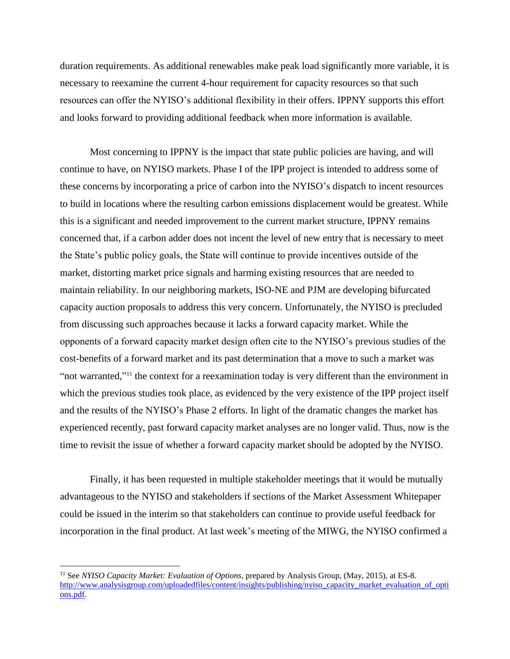duration requirements. As additional renewables make peak load significantly more variable, it is necessary to reexamine the current 4-hour requirement for capacity resources so that such resources can offer the NYISO's additional flexibility in their offers. IPPNY supports this effort and looks forward to providing additional feedback when more information is available.

Most concerning to IPPNY is the impact that state public policies are having, and will continue to have, on NYISO markets. Phase I of the IPP project is intended to address some of these concerns by incorporating a price of carbon into the NYISO's dispatch to incent resources to build in locations where the resulting carbon emissions displacement would be greatest. While this is a significant and needed improvement to the current market structure, IPPNY remains concerned that, if a carbon adder does not incent the level of new entry that is necessary to meet the State's public policy goals, the State will continue to provide incentives outside of the market, distorting market price signals and harming existing resources that are needed to maintain reliability. In our neighboring markets, ISO-NE and PJM are developing bifurcated capacity auction proposals to address this very concern. Unfortunately, the NYISO is precluded from discussing such approaches because it lacks a forward capacity market. While the opponents of a forward capacity market design often cite to the NYISO's previous studies of the cost-benefits of a forward market and its past determination that a move to such a market was "not warranted,"<sup>11</sup> the context for a reexamination today is very different than the environment in which the previous studies took place, as evidenced by the very existence of the IPP project itself and the results of the NYISO's Phase 2 efforts. In light of the dramatic changes the market has experienced recently, past forward capacity market analyses are no longer valid. Thus, now is the time to revisit the issue of whether a forward capacity market should be adopted by the NYISO.

Finally, it has been requested in multiple stakeholder meetings that it would be mutually advantageous to the NYISO and stakeholders if sections of the Market Assessment Whitepaper could be issued in the interim so that stakeholders can continue to provide useful feedback for incorporation in the final product. At last week's meeting of the MIWG, the NYISO confirmed a

<sup>11</sup> See *NYISO Capacity Market: Evaluation of Options*, prepared by Analysis Group, (May, 2015), at ES-8. [http://www.analysisgroup.com/uploadedfiles/content/insights/publishing/nyiso\\_capacity\\_market\\_evaluation\\_of\\_opti](http://www.analysisgroup.com/uploadedfiles/content/insights/publishing/nyiso_capacity_market_evaluation_of_options.pdf) [ons.pdf.](http://www.analysisgroup.com/uploadedfiles/content/insights/publishing/nyiso_capacity_market_evaluation_of_options.pdf)